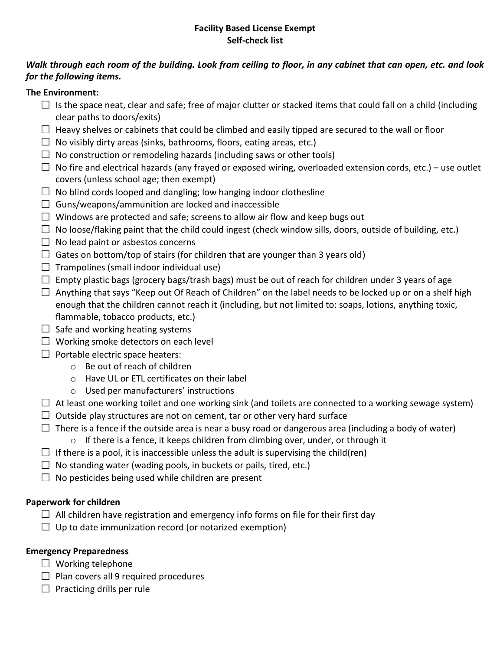#### **Facility Based License Exempt Self-check list**

## *Walk through each room of the building. Look from ceiling to floor, in any cabinet that can open, etc. and look for the following items.*

### **The Environment:**

- $\Box$  Is the space neat, clear and safe; free of major clutter or stacked items that could fall on a child (including clear paths to doors/exits)
- $\Box$  Heavy shelves or cabinets that could be climbed and easily tipped are secured to the wall or floor
- $\Box$  No visibly dirty areas (sinks, bathrooms, floors, eating areas, etc.)
- $\Box$  No construction or remodeling hazards (including saws or other tools)
- $\Box$  No fire and electrical hazards (any frayed or exposed wiring, overloaded extension cords, etc.) use outlet covers (unless school age; then exempt)
- $\Box$  No blind cords looped and dangling; low hanging indoor clothesline
- $\Box$  Guns/weapons/ammunition are locked and inaccessible
- $\Box$  Windows are protected and safe; screens to allow air flow and keep bugs out
- $\Box$  No loose/flaking paint that the child could ingest (check window sills, doors, outside of building, etc.)
- $\Box$  No lead paint or asbestos concerns
- $\Box$  Gates on bottom/top of stairs (for children that are younger than 3 years old)
- $\Box$  Trampolines (small indoor individual use)
- $\Box$  Empty plastic bags (grocery bags/trash bags) must be out of reach for children under 3 years of age
- $\Box$  Anything that says "Keep out Of Reach of Children" on the label needs to be locked up or on a shelf high enough that the children cannot reach it (including, but not limited to: soaps, lotions, anything toxic, flammable, tobacco products, etc.)
- $\Box$  Safe and working heating systems
- $\Box$  Working smoke detectors on each level
- $\Box$  Portable electric space heaters:
	- o Be out of reach of children
	- o Have UL or ETL certificates on their label
	- o Used per manufacturers' instructions
- $\Box$  At least one working toilet and one working sink (and toilets are connected to a working sewage system)
- $\Box$  Outside play structures are not on cement, tar or other very hard surface
- $\Box$  There is a fence if the outside area is near a busy road or dangerous area (including a body of water)
	- $\circ$  If there is a fence, it keeps children from climbing over, under, or through it
- $\Box$  If there is a pool, it is inaccessible unless the adult is supervising the child(ren)
- $\Box$  No standing water (wading pools, in buckets or pails, tired, etc.)
- $\Box$  No pesticides being used while children are present

### **Paperwork for children**

- $\Box$  All children have registration and emergency info forms on file for their first day
- $\Box$  Up to date immunization record (or notarized exemption)

# **Emergency Preparedness**

- $\Box$  Working telephone
- $\Box$  Plan covers all 9 required procedures
- $\Box$  Practicing drills per rule